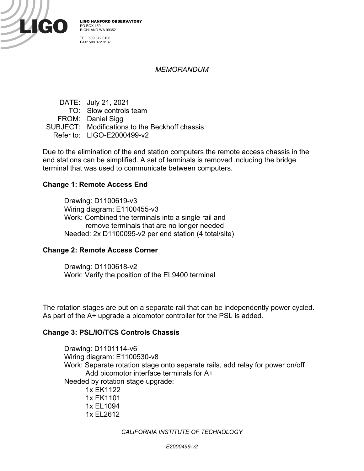

LIGO HANFORD OBSERVATORY PO BOX 159 RICHLAND WA 99352 TEL: 509.372.8106

FAX: 509.372.8137

### *MEMORANDUM*

DATE: July 21, 2021 TO: Slow controls team FROM: Daniel Sigg SUBJECT: Modifications to the Beckhoff chassis Refer to: LIGO-E2000499-v2

Due to the elimination of the end station computers the remote access chassis in the end stations can be simplified. A set of terminals is removed including the bridge terminal that was used to communicate between computers.

#### **Change 1: Remote Access End**

Drawing: D1100619-v3 Wiring diagram: E1100455-v3 Work: Combined the terminals into a single rail and remove terminals that are no longer needed Needed: 2x D1100095-v2 per end station (4 total/site)

#### **Change 2: Remote Access Corner**

Drawing: D1100618-v2 Work: Verify the position of the EL9400 terminal

The rotation stages are put on a separate rail that can be independently power cycled. As part of the A+ upgrade a picomotor controller for the PSL is added.

#### **Change 3: PSL/IO/TCS Controls Chassis**

Drawing: D1101114-v6 Wiring diagram: E1100530-v8 Work: Separate rotation stage onto separate rails, add relay for power on/off Add picomotor interface terminals for A+ Needed by rotation stage upgrade: 1x EK1122 1x EK1101 1x EL1094 1x EL2612

*CALIFORNIA INSTITUTE OF TECHNOLOGY*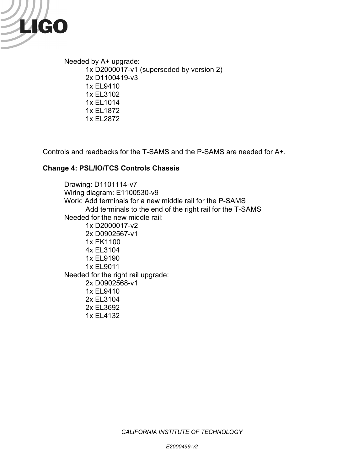

Needed by A+ upgrade: 1x D2000017-v1 (superseded by version 2) 2x D1100419-v3 1x EL9410 1x EL3102 1x EL1014 1x EL1872 1x EL2872

Controls and readbacks for the T-SAMS and the P-SAMS are needed for A+.

## **Change 4: PSL/IO/TCS Controls Chassis**

Drawing: D1101114-v7 Wiring diagram: E1100530-v9 Work: Add terminals for a new middle rail for the P-SAMS Add terminals to the end of the right rail for the T-SAMS Needed for the new middle rail: 1x D2000017-v2 2x D0902567-v1 1x EK1100 4x EL3104 1x EL9190 1x EL9011 Needed for the right rail upgrade: 2x D0902568-v1 1x EL9410 2x EL3104 2x EL3692 1x EL4132

*CALIFORNIA INSTITUTE OF TECHNOLOGY*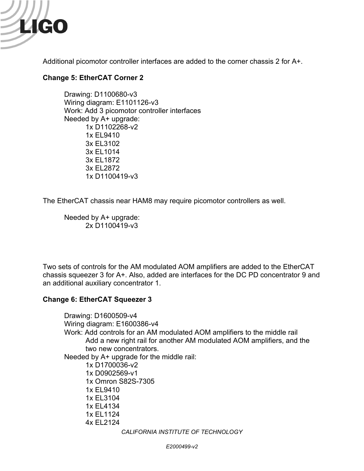

Additional picomotor controller interfaces are added to the corner chassis 2 for A+.

# **Change 5: EtherCAT Corner 2**

Drawing: D1100680-v3 Wiring diagram: E1101126-v3 Work: Add 3 picomotor controller interfaces Needed by A+ upgrade: 1x D1102268-v2 1x EL9410 3x EL3102 3x EL1014 3x EL1872 3x EL2872 1x D1100419-v3

The EtherCAT chassis near HAM8 may require picomotor controllers as well.

Needed by A+ upgrade: 2x D1100419-v3

Two sets of controls for the AM modulated AOM amplifiers are added to the EtherCAT chassis squeezer 3 for A+. Also, added are interfaces for the DC PD concentrator 9 and an additional auxiliary concentrator 1.

## **Change 6: EtherCAT Squeezer 3**

Drawing: D1600509-v4 Wiring diagram: E1600386-v4 Work: Add controls for an AM modulated AOM amplifiers to the middle rail Add a new right rail for another AM modulated AOM amplifiers, and the two new concentrators. Needed by A+ upgrade for the middle rail: 1x D1700036-v2 1x D0902569-v1 1x Omron S82S-7305 1x EL9410 1x EL3104 1x EL4134 1x EL1124 4x EL2124